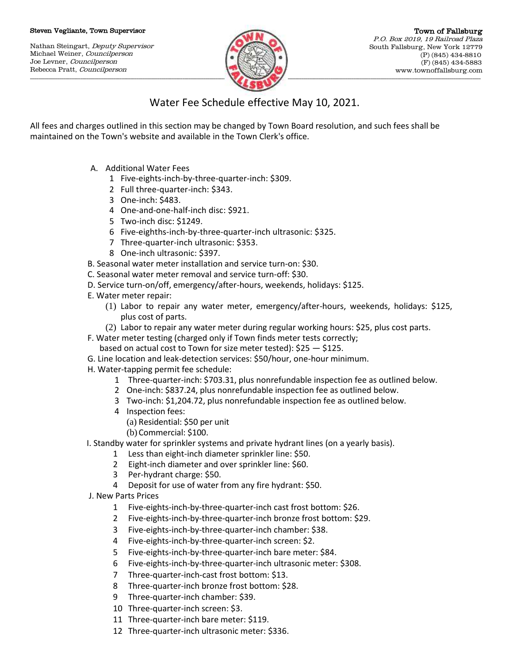## Steven Vegliante, Town Supervisor

Nathan Steingart, Deputy Supervisor Michael Weiner, Councilperson Joe Levner, Councilperson Rebecca Pratt, Councilperson



## Water Fee Schedule effective May 10, 2021.

All fees and charges outlined in this section may be changed by Town Board resolution, and such fees shall be maintained on the Town's website and available in the Town Clerk's office.

- A. Additional Water Fees
	- 1 Five-eights-inch-by-three-quarter-inch: \$309.
	- 2 Full three-quarter-inch: \$343.
	- 3 One-inch: \$483.
	- 4 One-and-one-half-inch disc: \$921.
	- 5 Two-inch disc: \$1249.
	- 6 Five-eighths-inch-by-three-quarter-inch ultrasonic: \$325.
	- 7 Three-quarter-inch ultrasonic: \$353.
	- 8 One-inch ultrasonic: \$397.
- B. Seasonal water meter installation and service turn-on: \$30.
- C. Seasonal water meter removal and service turn-off: \$30.
- D. Service turn-on/off, emergency/after-hours, weekends, holidays: \$125.
- E. Water meter repair:
	- (1) Labor to repair any water meter, emergency/after-hours, weekends, holidays: \$125, plus cost of parts.
	- (2) Labor to repair any water meter during regular working hours: \$25, plus cost parts.
- F. Water meter testing (charged only if Town finds meter tests correctly;
	- based on actual cost to Town for size meter tested): \$25 \$125.
- G. Line location and leak-detection services: \$50/hour, one-hour minimum.
- H. Water-tapping permit fee schedule:
	- 1 Three-quarter-inch: \$703.31, plus nonrefundable inspection fee as outlined below.
	- 2 One-inch: \$837.24, plus nonrefundable inspection fee as outlined below.
	- 3 Two-inch: \$1,204.72, plus nonrefundable inspection fee as outlined below.
	- 4 Inspection fees:
		- (a) Residential: \$50 per unit
		- (b) Commercial: \$100.
- I. Standby water for sprinkler systems and private hydrant lines (on a yearly basis).
	- 1 Less than eight-inch diameter sprinkler line: \$50.
	- 2 Eight-inch diameter and over sprinkler line: \$60.
	- 3 Per-hydrant charge: \$50.
	- 4 Deposit for use of water from any fire hydrant: \$50.
- J. New Parts Prices
	- 1 Five-eights-inch-by-three-quarter-inch cast frost bottom: \$26.
	- 2 Five-eights-inch-by-three-quarter-inch bronze frost bottom: \$29.
	- 3 Five-eights-inch-by-three-quarter-inch chamber: \$38.
	- 4 Five-eights-inch-by-three-quarter-inch screen: \$2.
	- 5 Five-eights-inch-by-three-quarter-inch bare meter: \$84.
	- 6 Five-eights-inch-by-three-quarter-inch ultrasonic meter: \$308.
	- 7 Three-quarter-inch-cast frost bottom: \$13.
	- 8 Three-quarter-inch bronze frost bottom: \$28.
	- 9 Three-quarter-inch chamber: \$39.
	- 10 Three-quarter-inch screen: \$3.
	- 11 Three-quarter-inch bare meter: \$119.
	- 12 Three-quarter-inch ultrasonic meter: \$336.